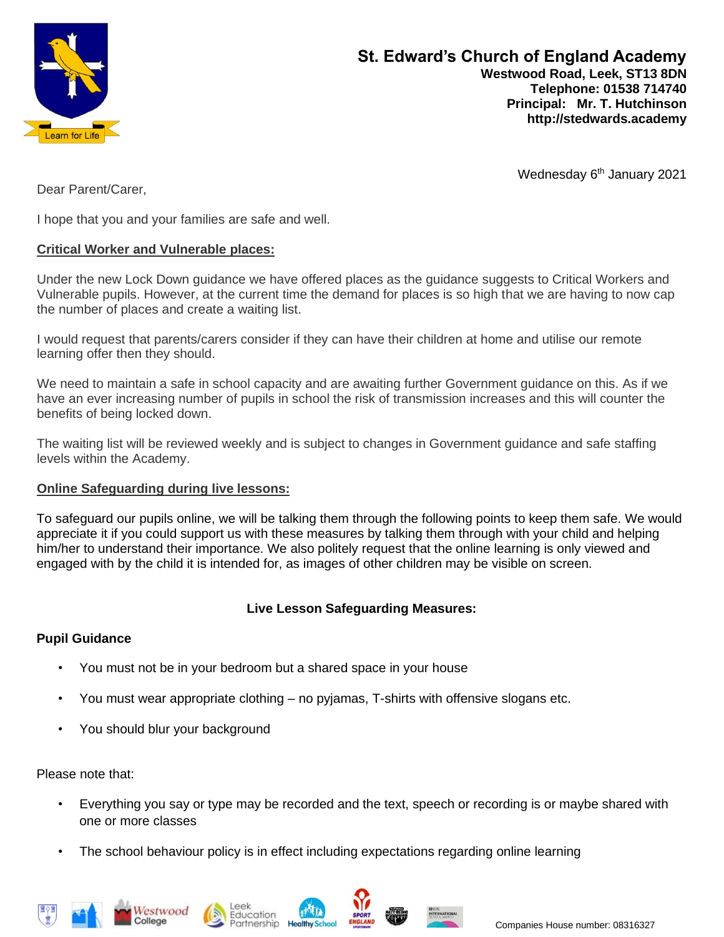

Dear Parent/Carer,

Wednesday 6<sup>th</sup> January 2021

I hope that you and your families are safe and well.

#### **Critical Worker and Vulnerable places:**

Under the new Lock Down guidance we have offered places as the guidance suggests to Critical Workers and Vulnerable pupils. However, at the current time the demand for places is so high that we are having to now cap the number of places and create a waiting list.

I would request that parents/carers consider if they can have their children at home and utilise our remote learning offer then they should.

We need to maintain a safe in school capacity and are awaiting further Government guidance on this. As if we have an ever increasing number of pupils in school the risk of transmission increases and this will counter the benefits of being locked down.

The waiting list will be reviewed weekly and is subject to changes in Government guidance and safe staffing levels within the Academy.

#### **Online Safeguarding during live lessons:**

To safeguard our pupils online, we will be talking them through the following points to keep them safe. We would appreciate it if you could support us with these measures by talking them through with your child and helping him/her to understand their importance. We also politely request that the online learning is only viewed and engaged with by the child it is intended for, as images of other children may be visible on screen.

### **Live Lesson Safeguarding Measures:**

### **Pupil Guidance**

- You must not be in your bedroom but a shared space in your house
- You must wear appropriate clothing no pyjamas, T-shirts with offensive slogans etc.
- You should blur your background

Please note that:

- Everything you say or type may be recorded and the text, speech or recording is or maybe shared with one or more classes
- The school behaviour policy is in effect including expectations regarding online learning











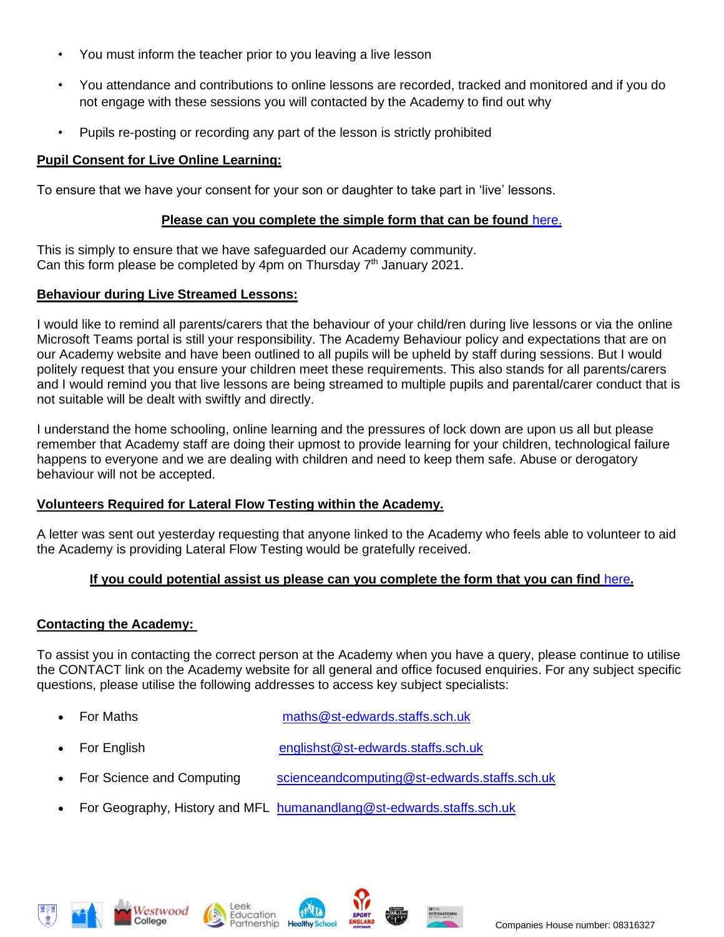- You must inform the teacher prior to you leaving a live lesson
- You attendance and contributions to online lessons are recorded, tracked and monitored and if you do not engage with these sessions you will contacted by the Academy to find out why
- Pupils re-posting or recording any part of the lesson is strictly prohibited

## **Pupil Consent for Live Online Learning:**

To ensure that we have your consent for your son or daughter to take part in 'live' lessons.

### **Please can you complete the simple form that can be found** [here.](https://forms.office.com/Pages/ResponsePage.aspx?id=1fhjb3KZgUuT_NXvEhdWcKayiLvXvodDpRcCWau7pr1URTFZM1VJWEg0WjlIRkJGU0o3NTZURlFRRS4u)

This is simply to ensure that we have safeguarded our Academy community. Can this form please be completed by 4pm on Thursday  $7<sup>th</sup>$  January 2021.

### **Behaviour during Live Streamed Lessons:**

I would like to remind all parents/carers that the behaviour of your child/ren during live lessons or via the online Microsoft Teams portal is still your responsibility. The Academy Behaviour policy and expectations that are on our Academy website and have been outlined to all pupils will be upheld by staff during sessions. But I would politely request that you ensure your children meet these requirements. This also stands for all parents/carers and I would remind you that live lessons are being streamed to multiple pupils and parental/carer conduct that is not suitable will be dealt with swiftly and directly.

I understand the home schooling, online learning and the pressures of lock down are upon us all but please remember that Academy staff are doing their upmost to provide learning for your children, technological failure happens to everyone and we are dealing with children and need to keep them safe. Abuse or derogatory behaviour will not be accepted.

# **Volunteers Required for Lateral Flow Testing within the Academy.**

A letter was sent out yesterday requesting that anyone linked to the Academy who feels able to volunteer to aid the Academy is providing Lateral Flow Testing would be gratefully received.

# **If you could potential assist us please can you complete the form that you can find** [here](https://forms.office.com/Pages/ResponsePage.aspx?id=1fhjb3KZgUuT_NXvEhdWcKayiLvXvodDpRcCWau7pr1UN0NZOTcxUloyWTZYQU5MSjZCRUdDMlBOTC4u)**.**

# **Contacting the Academy:**

To assist you in contacting the correct person at the Academy when you have a query, please continue to utilise the CONTACT link on the Academy website for all general and office focused enquiries. For any subject specific questions, please utilise the following addresses to access key subject specialists:

- For Maths [maths@st-edwards.staffs.sch.uk](mailto:maths@st-edwards.staffs.sch.uk)
	- For English [englishst@st-edwards.staffs.sch.uk](mailto:englishst@st-edwards.staffs.sch.uk)
- For Science and Computing [scienceandcomputing@st-edwards.staffs.sch.uk](mailto:scienceandcomputing@st-edwards.staffs.sch.uk)
- For Geography, History and MFL [humanandlang@st-edwards.staffs.sch.uk](mailto:humanandlang@st-edwards.staffs.sch.uk)









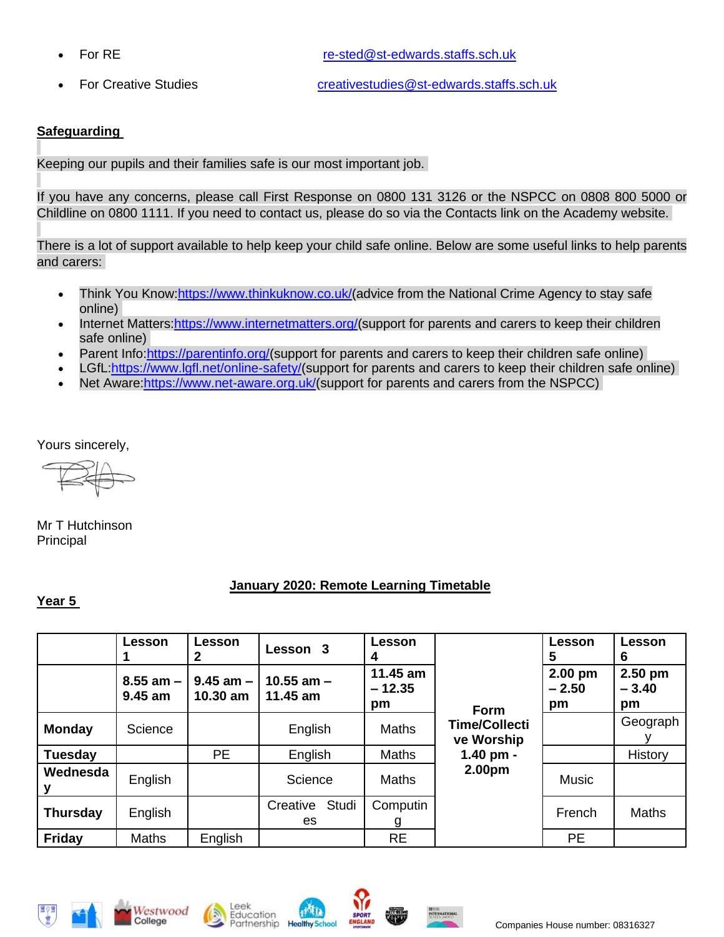• For RE [re-sted@st-edwards.staffs.sch.uk](mailto:re-sted@st-edwards.staffs.sch.uk)

• For Creative Studies [creativestudies@st-edwards.staffs.sch.uk](mailto:creativestudies@st-edwards.staffs.sch.uk)

## **Safeguarding**

Keeping our pupils and their families safe is our most important job.

If you have any concerns, please call First Response on 0800 131 3126 or the NSPCC on 0808 800 5000 or Childline on 0800 1111. If you need to contact us, please do so via the Contacts link on the Academy website.

There is a lot of support available to help keep your child safe online. Below are some useful links to help parents and carers:

- Think You Know[:https://www.thinkuknow.co.uk/\(](https://www.thinkuknow.co.uk/)advice from the National Crime Agency to stay safe online)
- Internet Matters: https://www.internetmatters.org/(support for parents and carers to keep their children safe online)
- Parent Info[:https://parentinfo.org/\(](https://parentinfo.org/)support for parents and carers to keep their children safe online)
- LGfL[:https://www.lgfl.net/online-safety/\(](https://www.lgfl.net/online-safety/)support for parents and carers to keep their children safe online)
- Net Aware: https://www.net-aware.org.uk/(support for parents and carers from the NSPCC)

Yours sincerely,

Mr T Hutchinson Principal

### **January 2020: Remote Learning Timetable**

### **Year 5**

|                 | Lesson                     | Lesson<br>2                 | Lesson 3                   | Lesson<br>4                |                                    | <b>Lesson</b><br>5         | Lesson<br>6                |
|-----------------|----------------------------|-----------------------------|----------------------------|----------------------------|------------------------------------|----------------------------|----------------------------|
|                 | $8.55$ am $-$<br>$9.45$ am | $9.45$ am $-$  <br>10.30 am | 10.55 am $-$<br>$11.45$ am | 11.45 am<br>$-12.35$<br>pm | <b>Form</b>                        | $2.00$ pm<br>$-2.50$<br>pm | $2.50$ pm<br>$-3.40$<br>pm |
| <b>Monday</b>   | Science                    |                             | English                    | Maths                      | <b>Time/Collecti</b><br>ve Worship |                            | Geograph                   |
| <b>Tuesday</b>  |                            | <b>PE</b>                   | English                    | <b>Maths</b>               | 1.40 pm -                          |                            | History                    |
| Wednesda        | English                    |                             | Science                    | <b>Maths</b>               | 2.00pm                             | <b>Music</b>               |                            |
| <b>Thursday</b> | English                    |                             | Studi<br>Creative<br>es    | Computin<br>g              |                                    | French                     | <b>Maths</b>               |
| <b>Friday</b>   | <b>Maths</b>               | English                     |                            | <b>RE</b>                  |                                    | <b>PE</b>                  |                            |







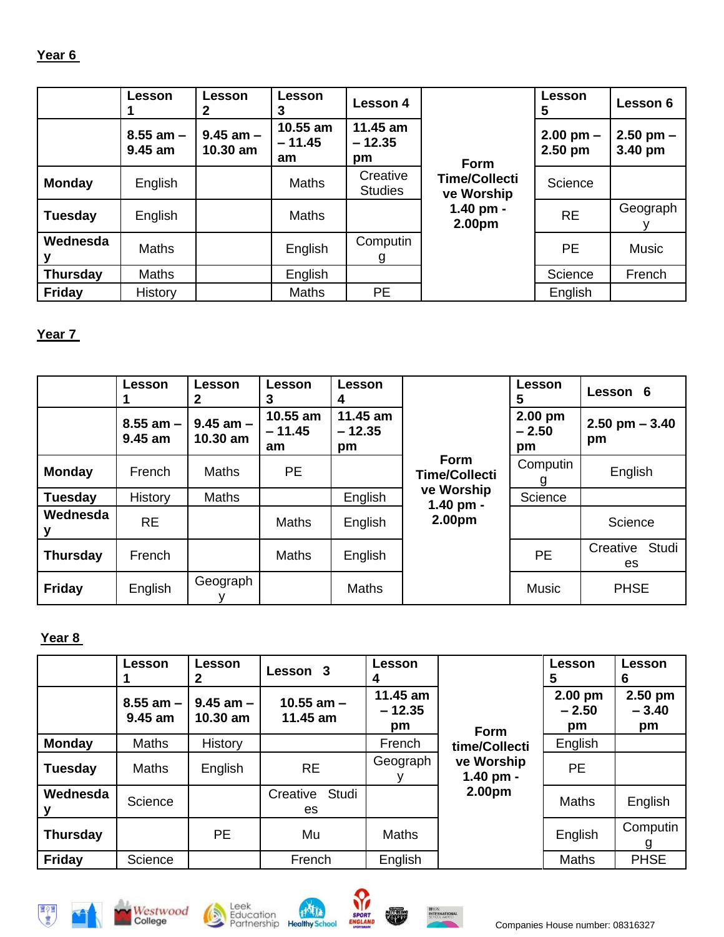# **Year 6**

|                 | Lesson                   | Lesson                      | Lesson<br>3                | <b>Lesson 4</b>            |                                    | Lesson<br>5                | Lesson 6                 |
|-----------------|--------------------------|-----------------------------|----------------------------|----------------------------|------------------------------------|----------------------------|--------------------------|
|                 | $8.55$ am $-$<br>9.45 am | $9.45$ am $-$<br>$10.30$ am | 10.55 am<br>$-11.45$<br>am | 11.45 am<br>$-12.35$<br>pm | <b>Form</b>                        | $2.00$ pm $-$<br>$2.50$ pm | $2.50$ pm $-$<br>3.40 pm |
| <b>Monday</b>   | English                  |                             | <b>Maths</b>               | Creative<br><b>Studies</b> | <b>Time/Collecti</b><br>ve Worship | Science                    |                          |
| <b>Tuesday</b>  | English                  |                             | <b>Maths</b>               |                            | 1.40 pm -<br>2.00pm                | <b>RE</b>                  | Geograph                 |
| Wednesda        | <b>Maths</b>             |                             | English                    | Computin<br>g              |                                    | PE                         | <b>Music</b>             |
| <b>Thursday</b> | Maths                    |                             | English                    |                            |                                    | Science                    | French                   |
| <b>Friday</b>   | History                  |                             | <b>Maths</b>               | <b>PE</b>                  |                                    | English                    |                          |

# **Year 7**

|                 | <b>Lesson</b>              | Lesson<br>2                 | Lesson<br>3                  | Lesson<br>4                |                                     | Lesson<br>5                | Lesson 6                 |  |
|-----------------|----------------------------|-----------------------------|------------------------------|----------------------------|-------------------------------------|----------------------------|--------------------------|--|
|                 | $8.55$ am $-$<br>$9.45$ am | $9.45$ am $-$<br>$10.30$ am | $10.55$ am<br>$-11.45$<br>am | 11.45 am<br>$-12.35$<br>pm |                                     | $2.00$ pm<br>$-2.50$<br>pm | $2.50$ pm $-3.40$<br>pm  |  |
| <b>Monday</b>   | French                     | <b>Maths</b>                | <b>PE</b>                    |                            | <b>Form</b><br><b>Time/Collecti</b> | Computin<br>g              | English                  |  |
| <b>Tuesday</b>  | History                    | <b>Maths</b>                |                              | English                    | ve Worship<br>1.40 pm -             | Science                    |                          |  |
| Wednesda        | <b>RE</b>                  |                             | <b>Maths</b>                 | English                    | 2.00 <sub>pm</sub>                  |                            | Science                  |  |
| <b>Thursday</b> | French                     |                             | <b>Maths</b>                 | English                    |                                     | <b>PE</b>                  | Studi<br>Creative<br>es. |  |
| <b>Friday</b>   | English                    | Geograph                    |                              | <b>Maths</b>               |                                     | <b>Music</b>               | <b>PHSE</b>              |  |

# **Year 8**

|                 | <b>Lesson</b>            | <b>Lesson</b>               | Lesson 3                 | Lesson                     |                                                    | Lesson<br>5                | Lesson<br>6              |
|-----------------|--------------------------|-----------------------------|--------------------------|----------------------------|----------------------------------------------------|----------------------------|--------------------------|
|                 | $8.55$ am $-$<br>9.45 am | $9.45$ am $-$<br>$10.30$ am | 10.55 $am -$<br>11.45 am | 11.45 am<br>$-12.35$<br>pm | <b>Form</b>                                        | $2.00$ pm<br>$-2.50$<br>pm | 2.50 pm<br>$-3.40$<br>pm |
| <b>Monday</b>   | <b>Maths</b>             | History                     |                          | French                     | time/Collecti<br>ve Worship<br>1.40 pm -<br>2.00pm | English                    |                          |
| <b>Tuesday</b>  | Maths                    | English                     | <b>RE</b>                | Geograph                   |                                                    | <b>PE</b>                  |                          |
| Wednesda        | Science                  |                             | Studi<br>Creative<br>es. |                            |                                                    | <b>Maths</b>               | English                  |
| <b>Thursday</b> |                          | PE.                         | Mu                       | <b>Maths</b>               |                                                    | English                    | Computin<br>g            |
| <b>Friday</b>   | Science                  |                             | French                   | English                    |                                                    | <b>Maths</b>               | <b>PHSE</b>              |